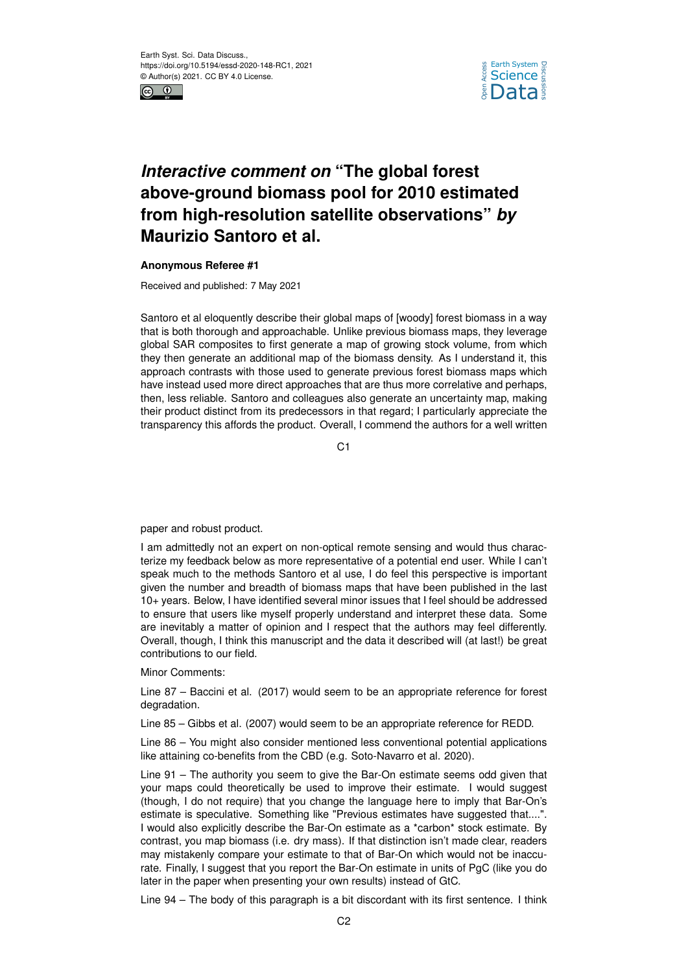



## *Interactive comment on* **"The global forest above-ground biomass pool for 2010 estimated from high-resolution satellite observations"** *by* **Maurizio Santoro et al.**

## **Anonymous Referee #1**

Received and published: 7 May 2021

Santoro et al eloquently describe their global maps of [woody] forest biomass in a way that is both thorough and approachable. Unlike previous biomass maps, they leverage global SAR composites to first generate a map of growing stock volume, from which they then generate an additional map of the biomass density. As I understand it, this approach contrasts with those used to generate previous forest biomass maps which have instead used more direct approaches that are thus more correlative and perhaps, then, less reliable. Santoro and colleagues also generate an uncertainty map, making their product distinct from its predecessors in that regard; I particularly appreciate the transparency this affords the product. Overall, I commend the authors for a well written

C<sub>1</sub>

paper and robust product.

I am admittedly not an expert on non-optical remote sensing and would thus characterize my feedback below as more representative of a potential end user. While I can't speak much to the methods Santoro et al use, I do feel this perspective is important given the number and breadth of biomass maps that have been published in the last 10+ years. Below, I have identified several minor issues that I feel should be addressed to ensure that users like myself properly understand and interpret these data. Some are inevitably a matter of opinion and I respect that the authors may feel differently. Overall, though, I think this manuscript and the data it described will (at last!) be great contributions to our field.

Minor Comments:

Line 87 – Baccini et al. (2017) would seem to be an appropriate reference for forest degradation.

Line 85 – Gibbs et al. (2007) would seem to be an appropriate reference for REDD.

Line 86 – You might also consider mentioned less conventional potential applications like attaining co-benefits from the CBD (e.g. Soto-Navarro et al. 2020).

Line 91 – The authority you seem to give the Bar-On estimate seems odd given that your maps could theoretically be used to improve their estimate. I would suggest (though, I do not require) that you change the language here to imply that Bar-On's estimate is speculative. Something like "Previous estimates have suggested that....". I would also explicitly describe the Bar-On estimate as a \*carbon\* stock estimate. By contrast, you map biomass (i.e. dry mass). If that distinction isn't made clear, readers may mistakenly compare your estimate to that of Bar-On which would not be inaccurate. Finally, I suggest that you report the Bar-On estimate in units of PgC (like you do later in the paper when presenting your own results) instead of GtC.

Line 94 – The body of this paragraph is a bit discordant with its first sentence. I think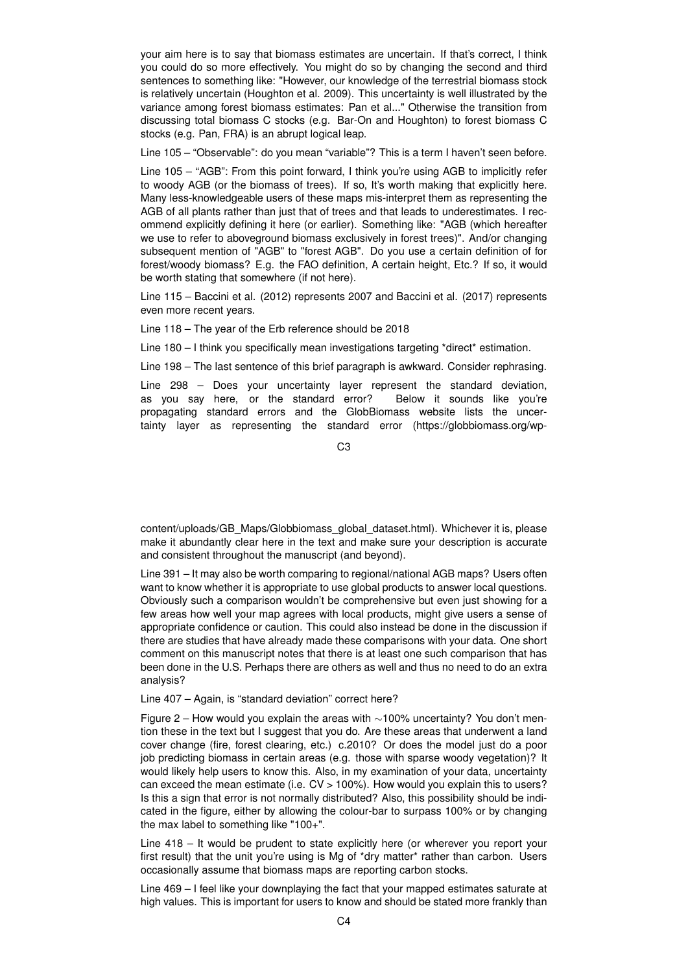your aim here is to say that biomass estimates are uncertain. If that's correct, I think you could do so more effectively. You might do so by changing the second and third sentences to something like: "However, our knowledge of the terrestrial biomass stock is relatively uncertain (Houghton et al. 2009). This uncertainty is well illustrated by the variance among forest biomass estimates: Pan et al..." Otherwise the transition from discussing total biomass C stocks (e.g. Bar-On and Houghton) to forest biomass C stocks (e.g. Pan, FRA) is an abrupt logical leap.

Line 105 – "Observable": do you mean "variable"? This is a term I haven't seen before.

Line 105 – "AGB": From this point forward, I think you're using AGB to implicitly refer to woody AGB (or the biomass of trees). If so, It's worth making that explicitly here. Many less-knowledgeable users of these maps mis-interpret them as representing the AGB of all plants rather than just that of trees and that leads to underestimates. I recommend explicitly defining it here (or earlier). Something like: "AGB (which hereafter we use to refer to aboveground biomass exclusively in forest trees)". And/or changing subsequent mention of "AGB" to "forest AGB". Do you use a certain definition of for forest/woody biomass? E.g. the FAO definition, A certain height, Etc.? If so, it would be worth stating that somewhere (if not here).

Line 115 – Baccini et al. (2012) represents 2007 and Baccini et al. (2017) represents even more recent years.

Line 118 – The year of the Erb reference should be 2018

Line 180 – I think you specifically mean investigations targeting \*direct\* estimation.

Line 198 – The last sentence of this brief paragraph is awkward. Consider rephrasing.

Line 298 – Does your uncertainty layer represent the standard deviation, as you say here, or the standard error? Below it sounds like you're propagating standard errors and the GlobBiomass website lists the uncertainty layer as representing the standard error (https://globbiomass.org/wp-

C3

content/uploads/GB\_Maps/Globbiomass\_global\_dataset.html). Whichever it is, please make it abundantly clear here in the text and make sure your description is accurate and consistent throughout the manuscript (and beyond).

Line 391 – It may also be worth comparing to regional/national AGB maps? Users often want to know whether it is appropriate to use global products to answer local questions. Obviously such a comparison wouldn't be comprehensive but even just showing for a few areas how well your map agrees with local products, might give users a sense of appropriate confidence or caution. This could also instead be done in the discussion if there are studies that have already made these comparisons with your data. One short comment on this manuscript notes that there is at least one such comparison that has been done in the U.S. Perhaps there are others as well and thus no need to do an extra analysis?

## Line 407 – Again, is "standard deviation" correct here?

Figure 2 – How would you explain the areas with ∼100% uncertainty? You don't mention these in the text but I suggest that you do. Are these areas that underwent a land cover change (fire, forest clearing, etc.) c.2010? Or does the model just do a poor job predicting biomass in certain areas (e.g. those with sparse woody vegetation)? It would likely help users to know this. Also, in my examination of your data, uncertainty can exceed the mean estimate (i.e. CV > 100%). How would you explain this to users? Is this a sign that error is not normally distributed? Also, this possibility should be indicated in the figure, either by allowing the colour-bar to surpass 100% or by changing the max label to something like "100+".

Line 418 – It would be prudent to state explicitly here (or wherever you report your first result) that the unit you're using is Mg of \*dry matter\* rather than carbon. Users occasionally assume that biomass maps are reporting carbon stocks.

Line 469 – I feel like your downplaying the fact that your mapped estimates saturate at high values. This is important for users to know and should be stated more frankly than